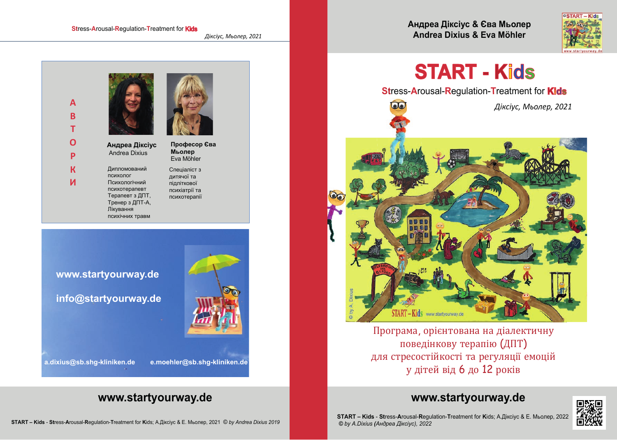#### **Stress-Arousal-Requlation-Treatment for Kids**

Діксіус, Мьолер, 2021





#### www.startyourway.de

info@startyourway.de

e.moehler@sb.shq-kliniken.de

a.dixius@sb.shq-kliniken.de

### www.startyourway.de

Андреа Діксіус & Єва Мьолер Andrea Dixius & Eva Möhler



# **START - Kids**

**Stress-Arousal-Regulation-Treatment for Kids** 

aa

Діксіус, Мьолер, 2021



Програма, орієнтована на діалектичну поведінкову терапію (ДПТ) для стресостійкості та регуляції емоцій у дітей від 6 до 12 років

### www.startyourway.de



START - Kids - Stress-Arousal-Regulation-Treatment for Kids; A.Діксіус & E. Мьолер, 2022 © by A.Dixius (Андреа Діксіус), 2022